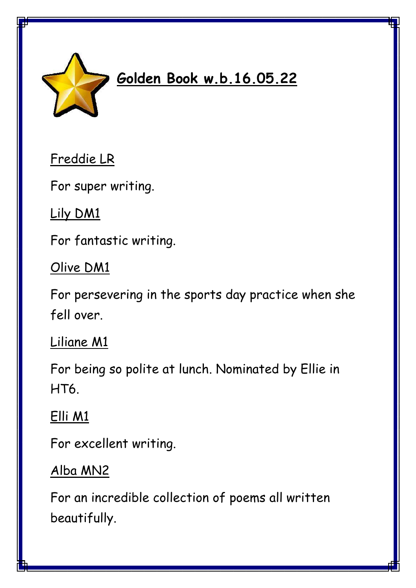

# **Golden Book w.b.16.05.22**

Freddie LR

For super writing.

Lily DM1

For fantastic writing.

### Olive DM1

For persevering in the sports day practice when she fell over.

#### Liliane M1

For being so polite at lunch. Nominated by Ellie in HT6.

## Elli M1

For excellent writing.

# Alba MN2

For an incredible collection of poems all written beautifully.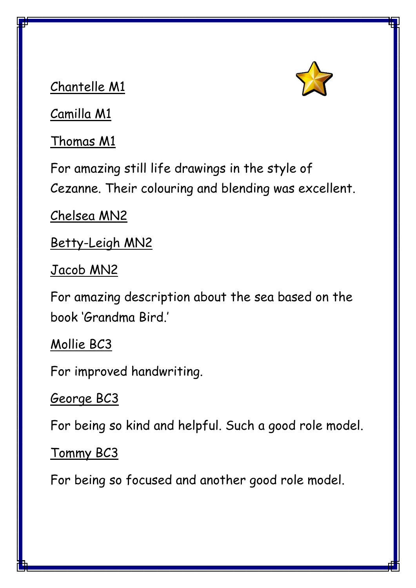

Chantelle M1

Camilla M1

Thomas M1

For amazing still life drawings in the style of Cezanne. Their colouring and blending was excellent.

Chelsea MN2

Betty-Leigh MN2

Jacob MN2

For amazing description about the sea based on the book 'Grandma Bird.'

Mollie BC3

For improved handwriting.

#### George BC3

For being so kind and helpful. Such a good role model.

Tommy BC3

For being so focused and another good role model.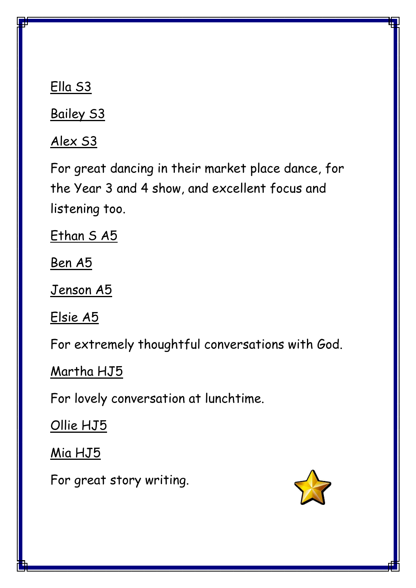Ella S3

Bailey S3

Alex S3

For great dancing in their market place dance, for the Year 3 and 4 show, and excellent focus and listening too.

Ethan SA5

Ben A5

Jenson A5

Elsie A5

For extremely thoughtful conversations with God.

Martha HJ5

For lovely conversation at lunchtime.

Ollie HJ5

Mia HJ5

For great story writing.